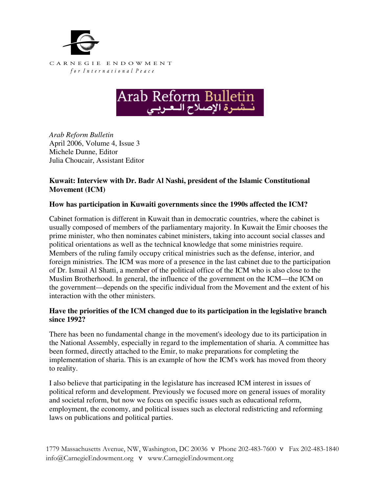



*Arab Reform Bulletin*  April 2006, Volume 4, Issue 3 Michele Dunne, Editor Julia Choucair, Assistant Editor

# **Kuwait: Interview with Dr. Badr Al Nashi, president of the Islamic Constitutional Movement (ICM)**

## **How has participation in Kuwaiti governments since the 1990s affected the ICM?**

Cabinet formation is different in Kuwait than in democratic countries, where the cabinet is usually composed of members of the parliamentary majority. In Kuwait the Emir chooses the prime minister, who then nominates cabinet ministers, taking into account social classes and political orientations as well as the technical knowledge that some ministries require. Members of the ruling family occupy critical ministries such as the defense, interior, and foreign ministries. The ICM was more of a presence in the last cabinet due to the participation of Dr. Ismail Al Shatti, a member of the political office of the ICM who is also close to the Muslim Brotherhood. In general, the influence of the government on the ICM—the ICM on the government—depends on the specific individual from the Movement and the extent of his interaction with the other ministers.

#### **Have the priorities of the ICM changed due to its participation in the legislative branch since 1992?**

There has been no fundamental change in the movement's ideology due to its participation in the National Assembly, especially in regard to the implementation of sharia. A committee has been formed, directly attached to the Emir, to make preparations for completing the implementation of sharia. This is an example of how the ICM's work has moved from theory to reality.

I also believe that participating in the legislature has increased ICM interest in issues of political reform and development. Previously we focused more on general issues of morality and societal reform, but now we focus on specific issues such as educational reform, employment, the economy, and political issues such as electoral redistricting and reforming laws on publications and political parties.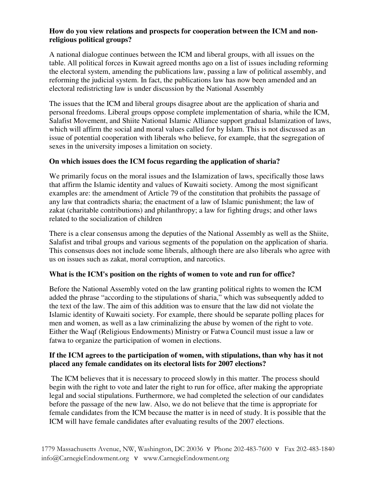### **How do you view relations and prospects for cooperation between the ICM and nonreligious political groups?**

A national dialogue continues between the ICM and liberal groups, with all issues on the table. All political forces in Kuwait agreed months ago on a list of issues including reforming the electoral system, amending the publications law, passing a law of political assembly, and reforming the judicial system. In fact, the publications law has now been amended and an electoral redistricting law is under discussion by the National Assembly

The issues that the ICM and liberal groups disagree about are the application of sharia and personal freedoms. Liberal groups oppose complete implementation of sharia, while the ICM, Salafist Movement, and Shiite National Islamic Alliance support gradual Islamization of laws, which will affirm the social and moral values called for by Islam. This is not discussed as an issue of potential cooperation with liberals who believe, for example, that the segregation of sexes in the university imposes a limitation on society.

# **On which issues does the ICM focus regarding the application of sharia?**

We primarily focus on the moral issues and the Islamization of laws, specifically those laws that affirm the Islamic identity and values of Kuwaiti society. Among the most significant examples are: the amendment of Article 79 of the constitution that prohibits the passage of any law that contradicts sharia; the enactment of a law of Islamic punishment; the law of zakat (charitable contributions) and philanthropy; a law for fighting drugs; and other laws related to the socialization of children

There is a clear consensus among the deputies of the National Assembly as well as the Shiite, Salafist and tribal groups and various segments of the population on the application of sharia. This consensus does not include some liberals, although there are also liberals who agree with us on issues such as zakat, moral corruption, and narcotics.

## **What is the ICM's position on the rights of women to vote and run for office?**

Before the National Assembly voted on the law granting political rights to women the ICM added the phrase "according to the stipulations of sharia," which was subsequently added to the text of the law. The aim of this addition was to ensure that the law did not violate the Islamic identity of Kuwaiti society. For example, there should be separate polling places for men and women, as well as a law criminalizing the abuse by women of the right to vote. Either the Waqf (Religious Endowments) Ministry or Fatwa Council must issue a law or fatwa to organize the participation of women in elections.

## **If the ICM agrees to the participation of women, with stipulations, than why has it not placed any female candidates on its electoral lists for 2007 elections?**

The ICM believes that it is necessary to proceed slowly in this matter. The process should begin with the right to vote and later the right to run for office, after making the appropriate legal and social stipulations. Furthermore, we had completed the selection of our candidates before the passage of the new law. Also, we do not believe that the time is appropriate for female candidates from the ICM because the matter is in need of study. It is possible that the ICM will have female candidates after evaluating results of the 2007 elections.